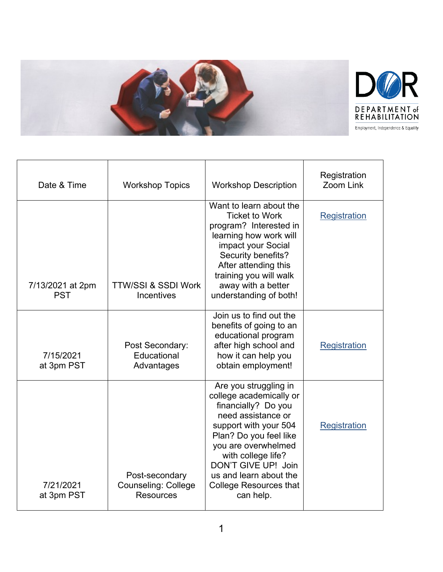

| Date & Time                    | <b>Workshop Topics</b>                                           | <b>Workshop Description</b>                                                                                                                                                                                                                                                                  | Registration<br>Zoom Link |
|--------------------------------|------------------------------------------------------------------|----------------------------------------------------------------------------------------------------------------------------------------------------------------------------------------------------------------------------------------------------------------------------------------------|---------------------------|
| 7/13/2021 at 2pm<br><b>PST</b> | <b>TTW/SSI &amp; SSDI Work</b><br><b>Incentives</b>              | Want to learn about the<br><b>Ticket to Work</b><br>program? Interested in<br>learning how work will<br>impact your Social<br>Security benefits?<br>After attending this<br>training you will walk<br>away with a better<br>understanding of both!                                           | <b>Registration</b>       |
| 7/15/2021<br>at 3pm PST        | Post Secondary:<br>Educational<br>Advantages                     | Join us to find out the<br>benefits of going to an<br>educational program<br>after high school and<br>how it can help you<br>obtain employment!                                                                                                                                              | <b>Registration</b>       |
| 7/21/2021<br>at 3pm PST        | Post-secondary<br><b>Counseling: College</b><br><b>Resources</b> | Are you struggling in<br>college academically or<br>financially? Do you<br>need assistance or<br>support with your 504<br>Plan? Do you feel like<br>you are overwhelmed<br>with college life?<br>DON'T GIVE UP! Join<br>us and learn about the<br><b>College Resources that</b><br>can help. | Registration              |